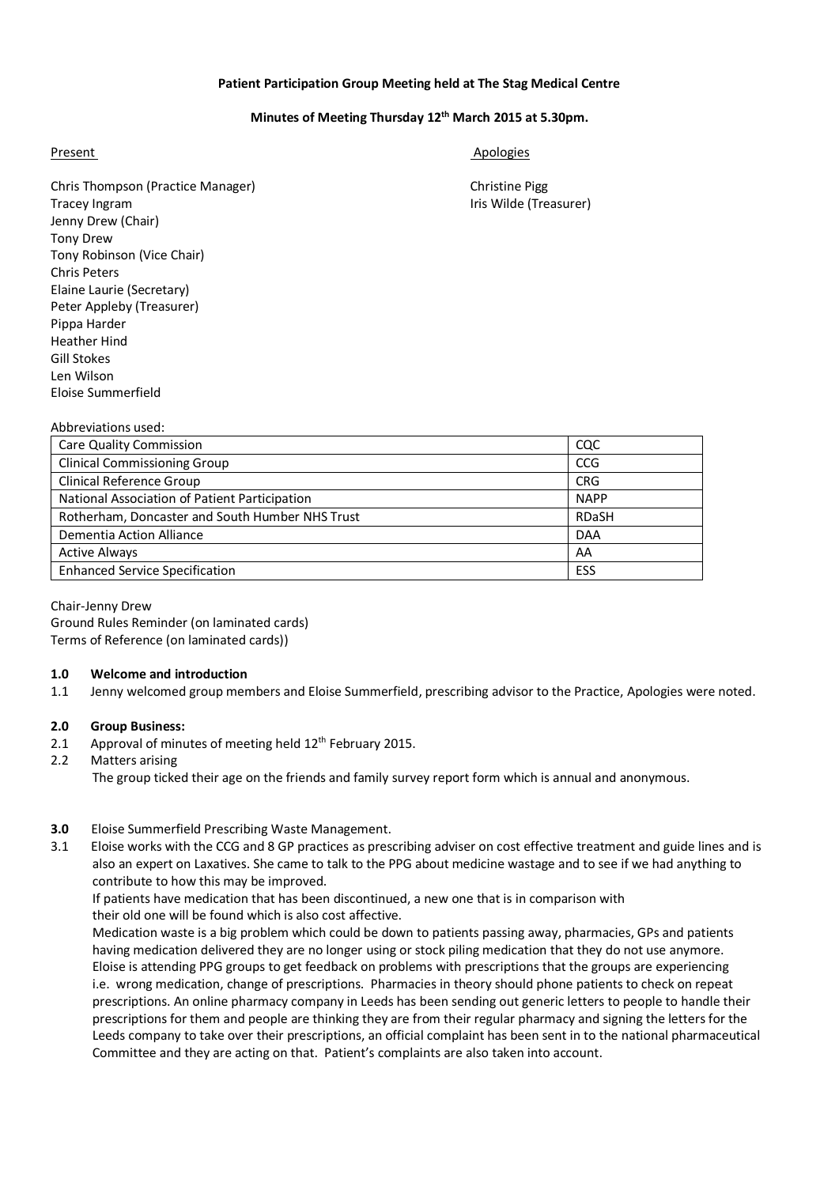## **Patient Participation Group Meeting held at The Stag Medical Centre**

### **Minutes of Meeting Thursday 12th March 2015 at 5.30pm.**

Present Apologies and Apologies and Apologies and Apologies and Apologies and Apologies and Apologies and Apologies

Chris Thompson (Practice Manager) Christine Pigg Tracey Ingram **Iris Wilde (Treasurer) Iris Wilde (Treasurer)** Jenny Drew (Chair) Tony Drew Tony Robinson (Vice Chair) Chris Peters Elaine Laurie (Secretary) Peter Appleby (Treasurer) Pippa Harder Heather Hind Gill Stokes Len Wilson Eloise Summerfield

| <b>Care Quality Commission</b>                  | cac         |
|-------------------------------------------------|-------------|
| <b>Clinical Commissioning Group</b>             | <b>CCG</b>  |
| <b>Clinical Reference Group</b>                 | <b>CRG</b>  |
| National Association of Patient Participation   | <b>NAPP</b> |
| Rotherham, Doncaster and South Humber NHS Trust | RDaSH       |
| Dementia Action Alliance                        | <b>DAA</b>  |
| <b>Active Always</b>                            | AA          |
| <b>Enhanced Service Specification</b>           | ESS         |
|                                                 |             |

Chair-Jenny Drew Ground Rules Reminder (on laminated cards) Terms of Reference (on laminated cards))

### **1.0 Welcome and introduction**

1.1 Jenny welcomed group members and Eloise Summerfield, prescribing advisor to the Practice, Apologies were noted.

#### **2.0 Group Business:**

Abbreviations used:

- 2.1 Approval of minutes of meeting held  $12<sup>th</sup>$  February 2015.
- 2.2 Matters arising

The group ticked their age on the friends and family survey report form which is annual and anonymous.

#### **3.0** Eloise Summerfield Prescribing Waste Management.

3.1 Eloise works with the CCG and 8 GP practices as prescribing adviser on cost effective treatment and guide lines and is also an expert on Laxatives. She came to talk to the PPG about medicine wastage and to see if we had anything to contribute to how this may be improved.

 If patients have medication that has been discontinued, a new one that is in comparison with their old one will be found which is also cost affective.

 Medication waste is a big problem which could be down to patients passing away, pharmacies, GPs and patients having medication delivered they are no longer using or stock piling medication that they do not use anymore. Eloise is attending PPG groups to get feedback on problems with prescriptions that the groups are experiencing i.e. wrong medication, change of prescriptions. Pharmacies in theory should phone patients to check on repeat prescriptions. An online pharmacy company in Leeds has been sending out generic letters to people to handle their prescriptions for them and people are thinking they are from their regular pharmacy and signing the letters for the Leeds company to take over their prescriptions, an official complaint has been sent in to the national pharmaceutical Committee and they are acting on that. Patient's complaints are also taken into account.